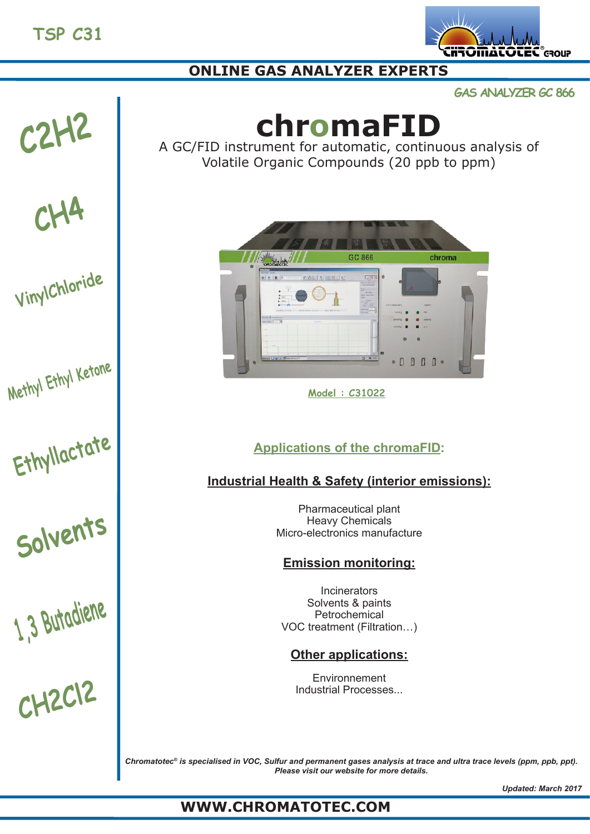

## **ONLINE GAS ANALYZER EXPERTS**

**GAS ANALYZER GC 866**

# **C2H2**

## **CH4**

**VinylChloride**

**Methyl Ethyl Ketone**

**Ethyllactate**

**Solvents**

**1,3 Butadiene**

**CH2Cl2**

## **chromaFID**

A GC/FID instrument for automatic, continuous analysis of Volatile Organic Compounds (20 ppb to ppm)



**Model : C31022**

## **Applications of the chromaFID:**

## **Industrial Health & Safety (interior emissions):**

Pharmaceutical plant Heavy Chemicals Micro-electronics manufacture

## **Emission monitoring:**

Incinerators Solvents & paints Petrochemical VOC treatment (Filtration…)

## **Other applications:**

**Environnement** Industrial Processes...

*Chromatotec® is specialised in VOC, Sulfur and permanent gases analysis at trace and ultra trace levels (ppm, ppb, ppt). Please visit our website for more details.*

## **WWW.CHROMATOTEC.COM**